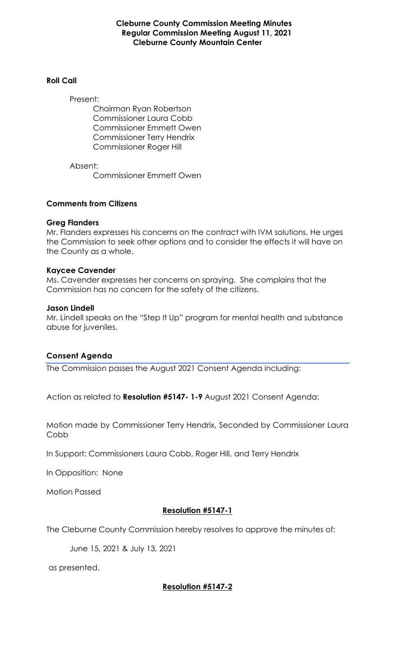### **Cleburne County Commission Meeting Minutes Regular Commission Meeting August 11, 2021 Cleburne County Mountain Center**

## **Roll Call**

Present:

Chairman Ryan Robertson Commissioner Laura Cobb Commissioner Emmett Owen Commissioner Terry Hendrix Commissioner Roger Hill

Absent:

Commissioner Emmett Owen

# **Comments from Citizens**

## **Greg Flanders**

Mr. Flanders expresses his concerns on the contract with IVM solutions. He urges the Commission to seek other options and to consider the effects it will have on the County as a whole.

### **Kaycee Cavender**

Ms. Cavender expresses her concerns on spraying. She complains that the Commission has no concern for the safety of the citizens.

### **Jason Lindell**

Mr. Lindell speaks on the "Step It Up" program for mental health and substance abuse for juveniles.

# **Consent Agenda**

The Commission passes the August 2021 Consent Agenda including:

Action as related to **Resolution #5147- 1-9** August 2021 Consent Agenda:

Motion made by Commissioner Terry Hendrix, Seconded by Commissioner Laura Cobb

In Support: Commissioners Laura Cobb, Roger Hill, and Terry Hendrix

In Opposition: None

Motion Passed

# **Resolution #5147-1**

The Cleburne County Commission hereby resolves to approve the minutes of:

June 15, 2021 & July 13, 2021

as presented.

# **Resolution #5147-2**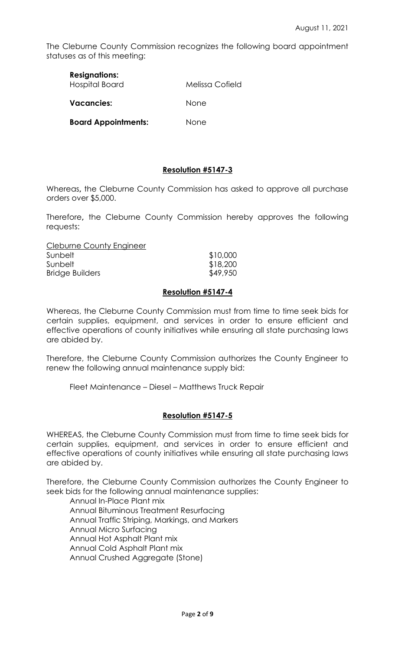The Cleburne County Commission recognizes the following board appointment statuses as of this meeting:

| <b>Resignations:</b><br>Hospital Board | Melissa Cofield |
|----------------------------------------|-----------------|
| <b>Vacancies:</b>                      | <b>None</b>     |
| <b>Board Appointments:</b>             | None            |

# **Resolution #5147-3**

Whereas**,** the Cleburne County Commission has asked to approve all purchase orders over \$5,000.

Therefore**,** the Cleburne County Commission hereby approves the following requests:

| \$10,000 |
|----------|
| \$18,200 |
| \$49,950 |
|          |

## **Resolution #5147-4**

Whereas, the Cleburne County Commission must from time to time seek bids for certain supplies, equipment, and services in order to ensure efficient and effective operations of county initiatives while ensuring all state purchasing laws are abided by.

Therefore, the Cleburne County Commission authorizes the County Engineer to renew the following annual maintenance supply bid:

Fleet Maintenance – Diesel – Matthews Truck Repair

### **Resolution #5147-5**

WHEREAS, the Cleburne County Commission must from time to time seek bids for certain supplies, equipment, and services in order to ensure efficient and effective operations of county initiatives while ensuring all state purchasing laws are abided by.

Therefore, the Cleburne County Commission authorizes the County Engineer to seek bids for the following annual maintenance supplies:

Annual In-Place Plant mix Annual Bituminous Treatment Resurfacing Annual Traffic Striping, Markings, and Markers Annual Micro Surfacing Annual Hot Asphalt Plant mix Annual Cold Asphalt Plant mix Annual Crushed Aggregate (Stone)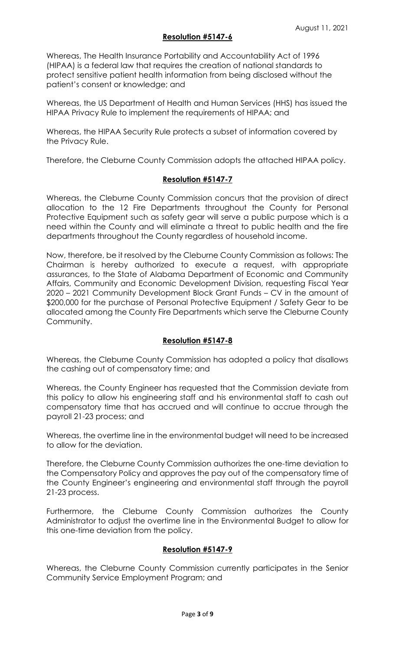## **Resolution #5147-6**

Whereas, The Health Insurance Portability and Accountability Act of 1996 (HIPAA) is a federal law that requires the creation of national standards to protect sensitive patient health information from being disclosed without the patient's consent or knowledge; and

Whereas, the US Department of Health and Human Services (HHS) has issued the HIPAA Privacy Rule to implement the requirements of HIPAA; and

Whereas, the HIPAA Security Rule protects a subset of information covered by the Privacy Rule.

Therefore, the Cleburne County Commission adopts the attached HIPAA policy.

## **Resolution #5147-7**

Whereas, the Cleburne County Commission concurs that the provision of direct allocation to the 12 Fire Departments throughout the County for Personal Protective Equipment such as safety gear will serve a public purpose which is a need within the County and will eliminate a threat to public health and the fire departments throughout the County regardless of household income.

Now, therefore, be it resolved by the Cleburne County Commission as follows: The Chairman is hereby authorized to execute a request, with appropriate assurances, to the State of Alabama Department of Economic and Community Affairs, Community and Economic Development Division, requesting Fiscal Year 2020 – 2021 Community Development Block Grant Funds – CV in the amount of \$200,000 for the purchase of Personal Protective Equipment / Safety Gear to be allocated among the County Fire Departments which serve the Cleburne County Community.

# **Resolution #5147-8**

Whereas, the Cleburne County Commission has adopted a policy that disallows the cashing out of compensatory time; and

Whereas, the County Engineer has requested that the Commission deviate from this policy to allow his engineering staff and his environmental staff to cash out compensatory time that has accrued and will continue to accrue through the payroll 21-23 process; and

Whereas, the overtime line in the environmental budget will need to be increased to allow for the deviation.

Therefore, the Cleburne County Commission authorizes the one-time deviation to the Compensatory Policy and approves the pay out of the compensatory time of the County Engineer's engineering and environmental staff through the payroll 21-23 process.

Furthermore, the Cleburne County Commission authorizes the County Administrator to adjust the overtime line in the Environmental Budget to allow for this one-time deviation from the policy.

### **Resolution #5147-9**

Whereas, the Cleburne County Commission currently participates in the Senior Community Service Employment Program; and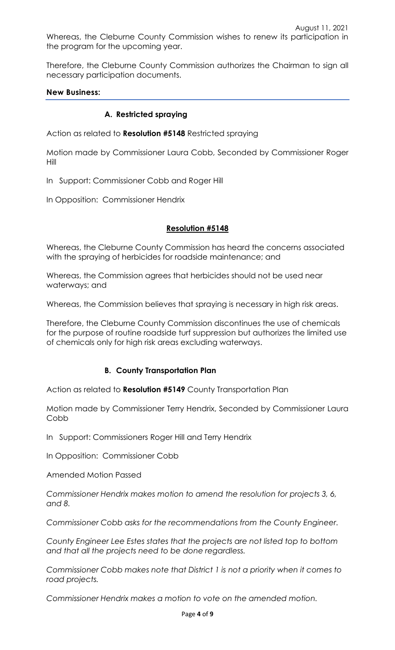Therefore, the Cleburne County Commission authorizes the Chairman to sign all necessary participation documents.

## **New Business:**

## **A. Restricted spraying**

Action as related to **Resolution #5148** Restricted spraying

Motion made by Commissioner Laura Cobb, Seconded by Commissioner Roger Hill

In Support: Commissioner Cobb and Roger Hill

In Opposition: Commissioner Hendrix

## **Resolution #5148**

Whereas, the Cleburne County Commission has heard the concerns associated with the spraying of herbicides for roadside maintenance; and

Whereas, the Commission agrees that herbicides should not be used near waterways; and

Whereas, the Commission believes that spraying is necessary in high risk areas.

Therefore, the Cleburne County Commission discontinues the use of chemicals for the purpose of routine roadside turf suppression but authorizes the limited use of chemicals only for high risk areas excluding waterways.

# **B. County Transportation Plan**

Action as related to **Resolution #5149** County Transportation Plan

Motion made by Commissioner Terry Hendrix, Seconded by Commissioner Laura Cobb

In Support: Commissioners Roger Hill and Terry Hendrix

In Opposition: Commissioner Cobb

Amended Motion Passed

*Commissioner Hendrix makes motion to amend the resolution for projects 3, 6, and 8.*

*Commissioner Cobb asks for the recommendations from the County Engineer.*

*County Engineer Lee Estes states that the projects are not listed top to bottom and that all the projects need to be done regardless.*

*Commissioner Cobb makes note that District 1 is not a priority when it comes to road projects.*

*Commissioner Hendrix makes a motion to vote on the amended motion.*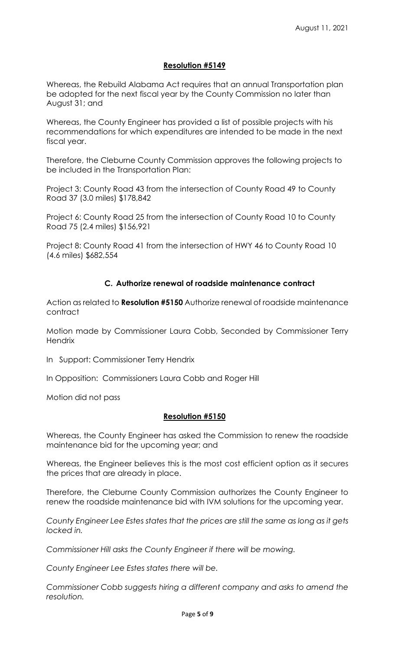## **Resolution #5149**

Whereas, the Rebuild Alabama Act requires that an annual Transportation plan be adopted for the next fiscal year by the County Commission no later than August 31; and

Whereas, the County Engineer has provided a list of possible projects with his recommendations for which expenditures are intended to be made in the next fiscal year.

Therefore, the Cleburne County Commission approves the following projects to be included in the Transportation Plan:

Project 3: County Road 43 from the intersection of County Road 49 to County Road 37 (3.0 miles) \$178,842

Project 6: County Road 25 from the intersection of County Road 10 to County Road 75 (2.4 miles) \$156,921

Project 8: County Road 41 from the intersection of HWY 46 to County Road 10 (4.6 miles) \$682,554

## **C. Authorize renewal of roadside maintenance contract**

Action as related to **Resolution #5150** Authorize renewal of roadside maintenance contract

Motion made by Commissioner Laura Cobb, Seconded by Commissioner Terry **Hendrix** 

In Support: Commissioner Terry Hendrix

In Opposition: Commissioners Laura Cobb and Roger Hill

Motion did not pass

### **Resolution #5150**

Whereas, the County Engineer has asked the Commission to renew the roadside maintenance bid for the upcoming year; and

Whereas, the Engineer believes this is the most cost efficient option as it secures the prices that are already in place.

Therefore, the Cleburne County Commission authorizes the County Engineer to renew the roadside maintenance bid with IVM solutions for the upcoming year.

*County Engineer Lee Estes states that the prices are still the same as long as it gets locked in.*

*Commissioner Hill asks the County Engineer if there will be mowing.*

*County Engineer Lee Estes states there will be.*

*Commissioner Cobb suggests hiring a different company and asks to amend the resolution.*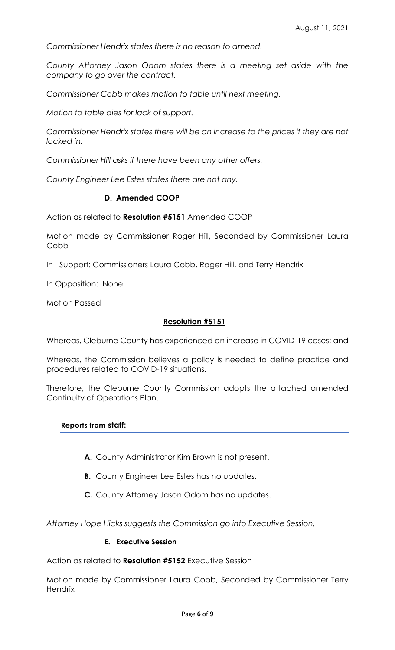*Commissioner Hendrix states there is no reason to amend.*

*County Attorney Jason Odom states there is a meeting set aside with the company to go over the contract.*

*Commissioner Cobb makes motion to table until next meeting.*

*Motion to table dies for lack of support.*

*Commissioner Hendrix states there will be an increase to the prices if they are not locked in.*

*Commissioner Hill asks if there have been any other offers.*

*County Engineer Lee Estes states there are not any.*

### **D. Amended COOP**

Action as related to **Resolution #5151** Amended COOP

Motion made by Commissioner Roger Hill, Seconded by Commissioner Laura Cobb

In Support: Commissioners Laura Cobb, Roger Hill, and Terry Hendrix

In Opposition: None

Motion Passed

#### **Resolution #5151**

Whereas, Cleburne County has experienced an increase in COVID-19 cases; and

Whereas, the Commission believes a policy is needed to define practice and procedures related to COVID-19 situations.

Therefore, the Cleburne County Commission adopts the attached amended Continuity of Operations Plan.

#### **Reports from staff:**

- **A.** County Administrator Kim Brown is not present.
- **B.** County Engineer Lee Estes has no updates.
- **C.** County Attorney Jason Odom has no updates.

*Attorney Hope Hicks suggests the Commission go into Executive Session.*

#### **E. Executive Session**

Action as related to **Resolution #5152** Executive Session

Motion made by Commissioner Laura Cobb, Seconded by Commissioner Terry **Hendrix**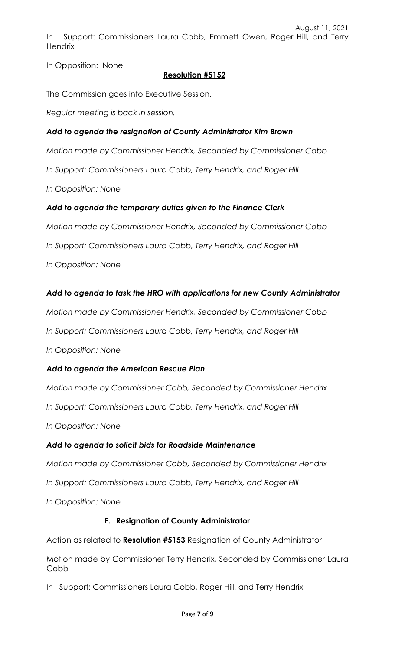In Opposition: None

# **Resolution #5152**

The Commission goes into Executive Session.

*Regular meeting is back in session.*

# *Add to agenda the resignation of County Administrator Kim Brown*

*Motion made by Commissioner Hendrix, Seconded by Commissioner Cobb*

*In Support: Commissioners Laura Cobb, Terry Hendrix, and Roger Hill*

*In Opposition: None*

# *Add to agenda the temporary duties given to the Finance Clerk*

*Motion made by Commissioner Hendrix, Seconded by Commissioner Cobb*

*In Support: Commissioners Laura Cobb, Terry Hendrix, and Roger Hill*

*In Opposition: None*

# *Add to agenda to task the HRO with applications for new County Administrator*

*Motion made by Commissioner Hendrix, Seconded by Commissioner Cobb*

*In Support: Commissioners Laura Cobb, Terry Hendrix, and Roger Hill*

*In Opposition: None*

# *Add to agenda the American Rescue Plan*

*Motion made by Commissioner Cobb, Seconded by Commissioner Hendrix*

*In Support: Commissioners Laura Cobb, Terry Hendrix, and Roger Hill*

*In Opposition: None*

# *Add to agenda to solicit bids for Roadside Maintenance*

*Motion made by Commissioner Cobb, Seconded by Commissioner Hendrix*

*In Support: Commissioners Laura Cobb, Terry Hendrix, and Roger Hill*

*In Opposition: None*

# **F. Resignation of County Administrator**

Action as related to **Resolution #5153** Resignation of County Administrator

Motion made by Commissioner Terry Hendrix, Seconded by Commissioner Laura Cobb

In Support: Commissioners Laura Cobb, Roger Hill, and Terry Hendrix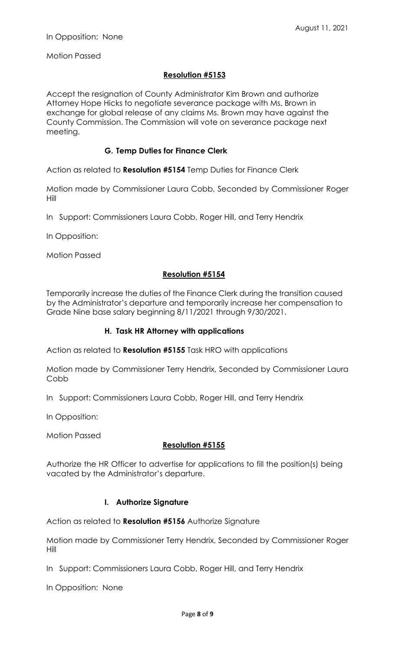Motion Passed

## **Resolution #5153**

Accept the resignation of County Administrator Kim Brown and authorize Attorney Hope Hicks to negotiate severance package with Ms. Brown in exchange for global release of any claims Ms. Brown may have against the County Commission. The Commission will vote on severance package next meeting.

### **G. Temp Duties for Finance Clerk**

Action as related to **Resolution #5154** Temp Duties for Finance Clerk

Motion made by Commissioner Laura Cobb, Seconded by Commissioner Roger Hill

In Support: Commissioners Laura Cobb, Roger Hill, and Terry Hendrix

In Opposition:

Motion Passed

### **Resolution #5154**

Temporarily increase the duties of the Finance Clerk during the transition caused by the Administrator's departure and temporarily increase her compensation to Grade Nine base salary beginning 8/11/2021 through 9/30/2021.

### **H. Task HR Attorney with applications**

Action as related to **Resolution #5155** Task HRO with applications

Motion made by Commissioner Terry Hendrix, Seconded by Commissioner Laura Cobb

In Support: Commissioners Laura Cobb, Roger Hill, and Terry Hendrix

In Opposition:

Motion Passed

### **Resolution #5155**

Authorize the HR Officer to advertise for applications to fill the position(s) being vacated by the Administrator's departure.

### **I. Authorize Signature**

Action as related to **Resolution #5156** Authorize Signature

Motion made by Commissioner Terry Hendrix, Seconded by Commissioner Roger Hill

In Support: Commissioners Laura Cobb, Roger Hill, and Terry Hendrix

In Opposition: None